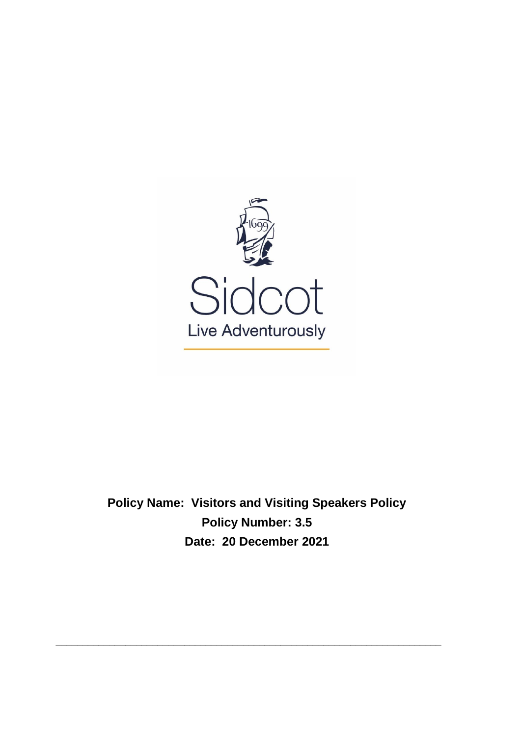

**Policy Name: Visitors and Visiting Speakers Policy Policy Number: 3.5 Date: 20 December 2021**

**\_\_\_\_\_\_\_\_\_\_\_\_\_\_\_\_\_\_\_\_\_\_\_\_\_\_\_\_\_\_\_\_\_\_\_\_\_\_\_\_\_\_\_\_\_\_\_\_\_\_\_\_\_\_\_\_\_\_\_\_\_\_\_\_\_\_\_\_\_\_\_\_**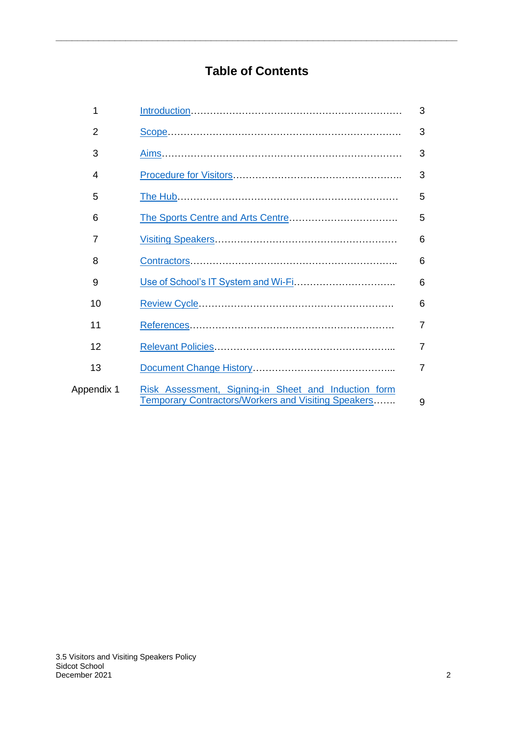# **Table of Contents**

**\_\_\_\_\_\_\_\_\_\_\_\_\_\_\_\_\_\_\_\_\_\_\_\_\_\_\_\_\_\_\_\_\_\_\_\_\_\_\_\_\_\_\_\_\_\_\_\_\_\_\_\_\_\_\_\_\_\_\_\_\_\_\_\_\_\_\_\_\_\_\_\_\_\_\_**

| 1          |                                                                                                                    | 3              |
|------------|--------------------------------------------------------------------------------------------------------------------|----------------|
| 2          |                                                                                                                    | 3              |
| 3          |                                                                                                                    | 3              |
| 4          |                                                                                                                    | 3              |
| 5          |                                                                                                                    | 5              |
| 6          |                                                                                                                    | 5              |
| 7          |                                                                                                                    | 6              |
| 8          |                                                                                                                    | 6              |
| 9          |                                                                                                                    | 6              |
| 10         |                                                                                                                    | 6              |
| 11         |                                                                                                                    | $\overline{7}$ |
| 12         |                                                                                                                    | $\overline{7}$ |
| 13         |                                                                                                                    | $\overline{7}$ |
| Appendix 1 | Risk Assessment, Signing-in Sheet and Induction form<br><b>Temporary Contractors/Workers and Visiting Speakers</b> | 9              |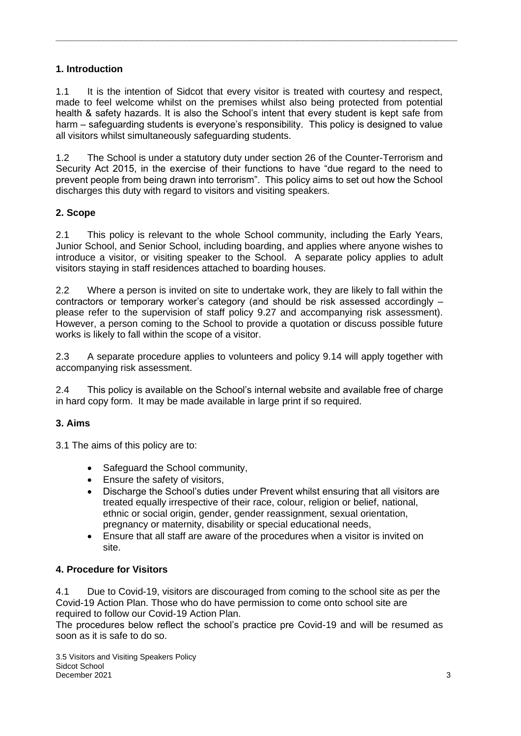## <span id="page-2-0"></span>**1. Introduction**

1.1 It is the intention of Sidcot that every visitor is treated with courtesy and respect, made to feel welcome whilst on the premises whilst also being protected from potential health & safety hazards. It is also the School's intent that every student is kept safe from harm – safeguarding students is everyone's responsibility. This policy is designed to value all visitors whilst simultaneously safeguarding students.

**\_\_\_\_\_\_\_\_\_\_\_\_\_\_\_\_\_\_\_\_\_\_\_\_\_\_\_\_\_\_\_\_\_\_\_\_\_\_\_\_\_\_\_\_\_\_\_\_\_\_\_\_\_\_\_\_\_\_\_\_\_\_\_\_\_\_\_\_\_\_\_\_\_\_\_**

1.2 The School is under a statutory duty under section 26 of the Counter-Terrorism and Security Act 2015, in the exercise of their functions to have "due regard to the need to prevent people from being drawn into terrorism". This policy aims to set out how the School discharges this duty with regard to visitors and visiting speakers.

## <span id="page-2-1"></span>**2. Scope**

2.1 This policy is relevant to the whole School community, including the Early Years, Junior School, and Senior School, including boarding, and applies where anyone wishes to introduce a visitor, or visiting speaker to the School. A separate policy applies to adult visitors staying in staff residences attached to boarding houses.

2.2 Where a person is invited on site to undertake work, they are likely to fall within the contractors or temporary worker's category (and should be risk assessed accordingly – please refer to the supervision of staff policy 9.27 and accompanying risk assessment). However, a person coming to the School to provide a quotation or discuss possible future works is likely to fall within the scope of a visitor.

2.3 A separate procedure applies to volunteers and policy 9.14 will apply together with accompanying risk assessment.

2.4 This policy is available on the School's internal website and available free of charge in hard copy form. It may be made available in large print if so required.

## <span id="page-2-2"></span>**3. Aims**

3.1 The aims of this policy are to:

- Safeguard the School community,
- Ensure the safety of visitors,
- Discharge the School's duties under Prevent whilst ensuring that all visitors are treated equally irrespective of their race, colour, religion or belief, national, ethnic or social origin, gender, gender reassignment, sexual orientation, pregnancy or maternity, disability or special educational needs,
- <span id="page-2-3"></span>• Ensure that all staff are aware of the procedures when a visitor is invited on site.

## **4. Procedure for Visitors**

4.1 Due to Covid-19, visitors are discouraged from coming to the school site as per the Covid-19 Action Plan. Those who do have permission to come onto school site are required to follow our Covid-19 Action Plan.

The procedures below reflect the school's practice pre Covid-19 and will be resumed as soon as it is safe to do so.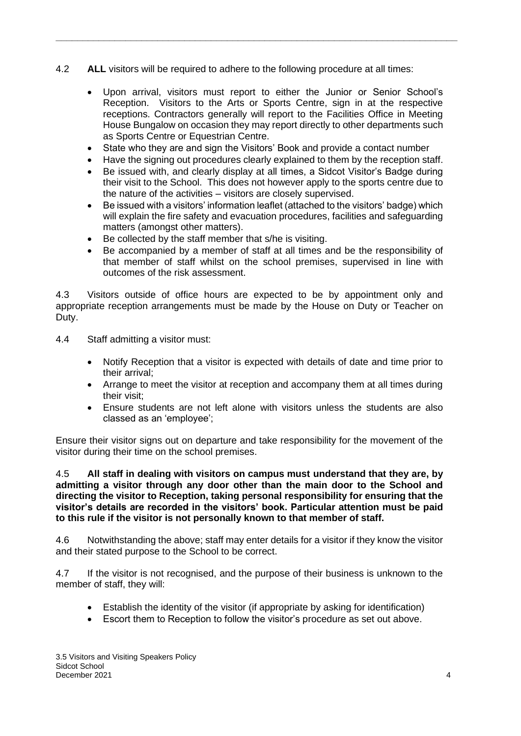- 4.2 **ALL** visitors will be required to adhere to the following procedure at all times:
	- Upon arrival, visitors must report to either the Junior or Senior School's Reception. Visitors to the Arts or Sports Centre, sign in at the respective receptions. Contractors generally will report to the Facilities Office in Meeting House Bungalow on occasion they may report directly to other departments such as Sports Centre or Equestrian Centre.
	- State who they are and sign the Visitors' Book and provide a contact number

**\_\_\_\_\_\_\_\_\_\_\_\_\_\_\_\_\_\_\_\_\_\_\_\_\_\_\_\_\_\_\_\_\_\_\_\_\_\_\_\_\_\_\_\_\_\_\_\_\_\_\_\_\_\_\_\_\_\_\_\_\_\_\_\_\_\_\_\_\_\_\_\_\_\_\_**

- Have the signing out procedures clearly explained to them by the reception staff.
- Be issued with, and clearly display at all times, a Sidcot Visitor's Badge during their visit to the School. This does not however apply to the sports centre due to the nature of the activities – visitors are closely supervised.
- Be issued with a visitors' information leaflet (attached to the visitors' badge) which will explain the fire safety and evacuation procedures, facilities and safeguarding matters (amongst other matters).
- Be collected by the staff member that s/he is visiting.
- Be accompanied by a member of staff at all times and be the responsibility of that member of staff whilst on the school premises, supervised in line with outcomes of the risk assessment.

4.3 Visitors outside of office hours are expected to be by appointment only and appropriate reception arrangements must be made by the House on Duty or Teacher on Duty.

- 4.4 Staff admitting a visitor must:
	- Notify Reception that a visitor is expected with details of date and time prior to their arrival;
	- Arrange to meet the visitor at reception and accompany them at all times during their visit;
	- Ensure students are not left alone with visitors unless the students are also classed as an 'employee';

Ensure their visitor signs out on departure and take responsibility for the movement of the visitor during their time on the school premises.

4.5 **All staff in dealing with visitors on campus must understand that they are, by admitting a visitor through any door other than the main door to the School and directing the visitor to Reception, taking personal responsibility for ensuring that the visitor's details are recorded in the visitors' book. Particular attention must be paid to this rule if the visitor is not personally known to that member of staff.**

4.6 Notwithstanding the above; staff may enter details for a visitor if they know the visitor and their stated purpose to the School to be correct.

4.7 If the visitor is not recognised, and the purpose of their business is unknown to the member of staff, they will:

- Establish the identity of the visitor (if appropriate by asking for identification)
- Escort them to Reception to follow the visitor's procedure as set out above.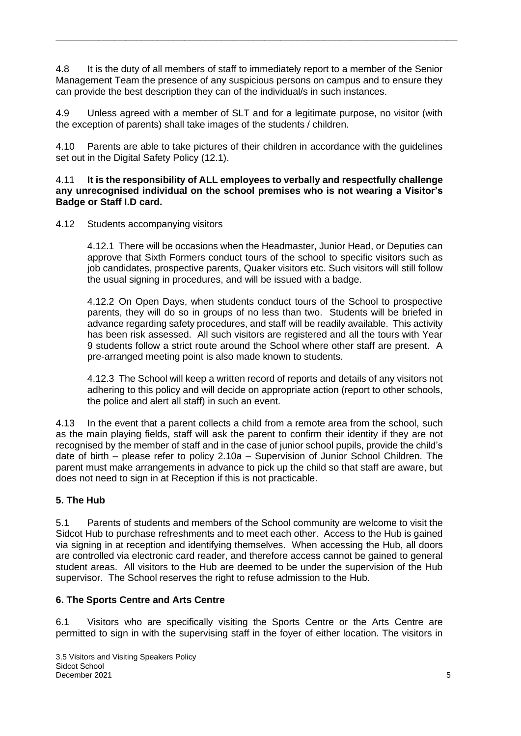4.8 It is the duty of all members of staff to immediately report to a member of the Senior Management Team the presence of any suspicious persons on campus and to ensure they can provide the best description they can of the individual/s in such instances.

**\_\_\_\_\_\_\_\_\_\_\_\_\_\_\_\_\_\_\_\_\_\_\_\_\_\_\_\_\_\_\_\_\_\_\_\_\_\_\_\_\_\_\_\_\_\_\_\_\_\_\_\_\_\_\_\_\_\_\_\_\_\_\_\_\_\_\_\_\_\_\_\_\_\_\_**

4.9 Unless agreed with a member of SLT and for a legitimate purpose, no visitor (with the exception of parents) shall take images of the students / children.

4.10 Parents are able to take pictures of their children in accordance with the guidelines set out in the Digital Safety Policy (12.1).

#### 4.11 **It is the responsibility of ALL employees to verbally and respectfully challenge any unrecognised individual on the school premises who is not wearing a Visitor's Badge or Staff I.D card.**

4.12 Students accompanying visitors

4.12.1 There will be occasions when the Headmaster, Junior Head, or Deputies can approve that Sixth Formers conduct tours of the school to specific visitors such as job candidates, prospective parents, Quaker visitors etc. Such visitors will still follow the usual signing in procedures, and will be issued with a badge.

4.12.2 On Open Days, when students conduct tours of the School to prospective parents, they will do so in groups of no less than two. Students will be briefed in advance regarding safety procedures, and staff will be readily available. This activity has been risk assessed. All such visitors are registered and all the tours with Year 9 students follow a strict route around the School where other staff are present. A pre-arranged meeting point is also made known to students.

4.12.3 The School will keep a written record of reports and details of any visitors not adhering to this policy and will decide on appropriate action (report to other schools, the police and alert all staff) in such an event.

4.13 In the event that a parent collects a child from a remote area from the school, such as the main playing fields, staff will ask the parent to confirm their identity if they are not recognised by the member of staff and in the case of junior school pupils, provide the child's date of birth – please refer to policy 2.10a – Supervision of Junior School Children. The parent must make arrangements in advance to pick up the child so that staff are aware, but does not need to sign in at Reception if this is not practicable.

## **5. The Hub**

5.1 Parents of students and members of the School community are welcome to visit the Sidcot Hub to purchase refreshments and to meet each other. Access to the Hub is gained via signing in at reception and identifying themselves. When accessing the Hub, all doors are controlled via electronic card reader, and therefore access cannot be gained to general student areas. All visitors to the Hub are deemed to be under the supervision of the Hub supervisor. The School reserves the right to refuse admission to the Hub.

## **6. The Sports Centre and Arts Centre**

6.1 Visitors who are specifically visiting the Sports Centre or the Arts Centre are permitted to sign in with the supervising staff in the foyer of either location. The visitors in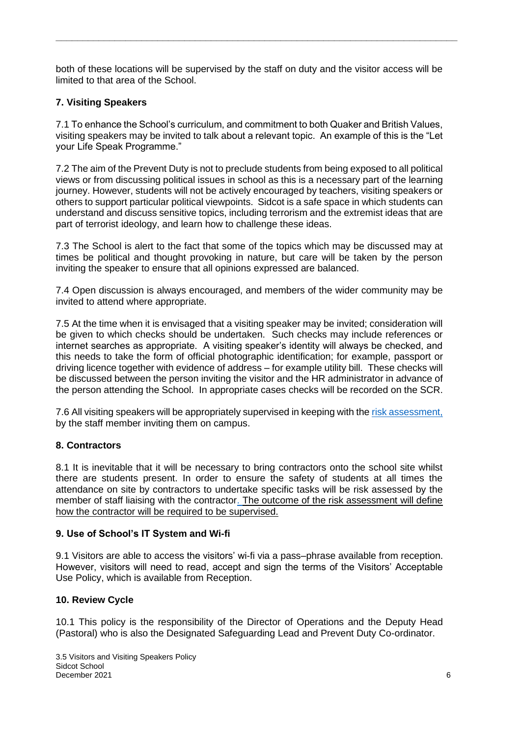both of these locations will be supervised by the staff on duty and the visitor access will be limited to that area of the School.

**\_\_\_\_\_\_\_\_\_\_\_\_\_\_\_\_\_\_\_\_\_\_\_\_\_\_\_\_\_\_\_\_\_\_\_\_\_\_\_\_\_\_\_\_\_\_\_\_\_\_\_\_\_\_\_\_\_\_\_\_\_\_\_\_\_\_\_\_\_\_\_\_\_\_\_**

## <span id="page-5-0"></span>**7. Visiting Speakers**

7.1 To enhance the School's curriculum, and commitment to both Quaker and British Values, visiting speakers may be invited to talk about a relevant topic. An example of this is the "Let your Life Speak Programme."

7.2 The aim of the Prevent Duty is not to preclude students from being exposed to all political views or from discussing political issues in school as this is a necessary part of the learning journey. However, students will not be actively encouraged by teachers, visiting speakers or others to support particular political viewpoints. Sidcot is a safe space in which students can understand and discuss sensitive topics, including terrorism and the extremist ideas that are part of terrorist ideology, and learn how to challenge these ideas.

7.3 The School is alert to the fact that some of the topics which may be discussed may at times be political and thought provoking in nature, but care will be taken by the person inviting the speaker to ensure that all opinions expressed are balanced.

7.4 Open discussion is always encouraged, and members of the wider community may be invited to attend where appropriate.

7.5 At the time when it is envisaged that a visiting speaker may be invited; consideration will be given to which checks should be undertaken. Such checks may include references or internet searches as appropriate. A visiting speaker's identity will always be checked, and this needs to take the form of official photographic identification; for example, passport or driving licence together with evidence of address – for example utility bill. These checks will be discussed between the person inviting the visitor and the HR administrator in advance of the person attending the School. In appropriate cases checks will be recorded on the SCR.

7.6 All visiting speakers will be appropriately supervised in keeping with th[e risk assessment,](http://intranet.sidcot.org.uk/resource.aspx?id=34195&officeint=on) by the staff member inviting them on campus.

## <span id="page-5-1"></span>**8. Contractors**

8.1 It is inevitable that it will be necessary to bring contractors onto the school site whilst there are students present. In order to ensure the safety of students at all times the attendance on site by contractors to undertake specific tasks will be risk assessed by the member of staff liaising with the contractor. The outcome of the risk assessment will define how the contractor will be required to be supervised.

## <span id="page-5-2"></span>**9. Use of School's IT System and Wi-fi**

9.1 Visitors are able to access the visitors' wi-fi via a pass–phrase available from reception. However, visitors will need to read, accept and sign the terms of the Visitors' Acceptable Use Policy, which is available from Reception.

## <span id="page-5-3"></span>**10. Review Cycle**

10.1 This policy is the responsibility of the Director of Operations and the Deputy Head (Pastoral) who is also the Designated Safeguarding Lead and Prevent Duty Co-ordinator.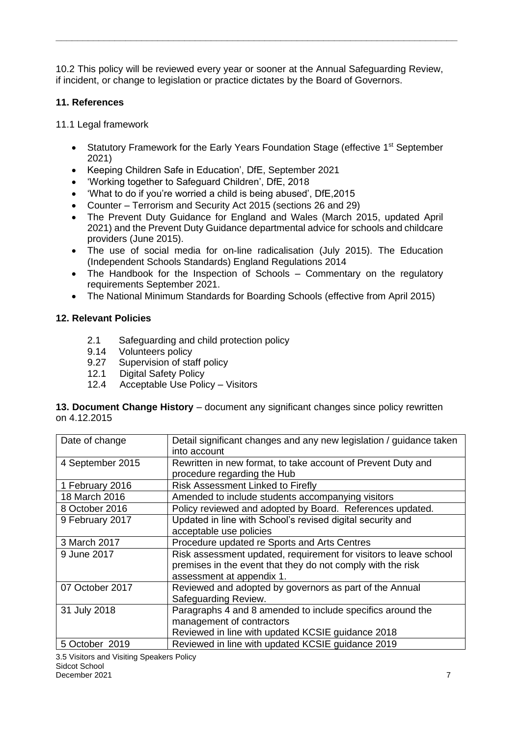10.2 This policy will be reviewed every year or sooner at the Annual Safeguarding Review, if incident, or change to legislation or practice dictates by the Board of Governors.

**\_\_\_\_\_\_\_\_\_\_\_\_\_\_\_\_\_\_\_\_\_\_\_\_\_\_\_\_\_\_\_\_\_\_\_\_\_\_\_\_\_\_\_\_\_\_\_\_\_\_\_\_\_\_\_\_\_\_\_\_\_\_\_\_\_\_\_\_\_\_\_\_\_\_\_**

#### <span id="page-6-0"></span>**11. References**

11.1 Legal framework

- Statutory Framework for the Early Years Foundation Stage (effective 1<sup>st</sup> September 2021)
- Keeping Children Safe in Education', DfE, September 2021
- 'Working together to Safeguard Children', DfE, 2018
- 'What to do if you're worried a child is being abused', DfE,2015
- Counter Terrorism and Security Act 2015 (sections 26 and 29)
- The Prevent Duty Guidance for England and Wales (March 2015, updated April 2021) and the Prevent Duty Guidance departmental advice for schools and childcare providers (June 2015).
- The use of social media for on-line radicalisation (July 2015). The Education (Independent Schools Standards) England Regulations 2014
- The Handbook for the Inspection of Schools Commentary on the regulatory requirements September 2021.
- The National Minimum Standards for Boarding Schools (effective from April 2015)

#### <span id="page-6-1"></span>**12. Relevant Policies**

- 2.1 Safeguarding and child protection policy
- 9.14 Volunteers policy
- 9.27 Supervision of staff policy
- 12.1 Digital Safety Policy
- 12.4 Acceptable Use Policy Visitors

<span id="page-6-2"></span>**13. Document Change History** – document any significant changes since policy rewritten on 4.12.2015

| Date of change   | Detail significant changes and any new legislation / guidance taken |  |  |
|------------------|---------------------------------------------------------------------|--|--|
|                  | into account                                                        |  |  |
| 4 September 2015 | Rewritten in new format, to take account of Prevent Duty and        |  |  |
|                  | procedure regarding the Hub                                         |  |  |
| 1 February 2016  | <b>Risk Assessment Linked to Firefly</b>                            |  |  |
| 18 March 2016    | Amended to include students accompanying visitors                   |  |  |
| 8 October 2016   | Policy reviewed and adopted by Board. References updated.           |  |  |
| 9 February 2017  | Updated in line with School's revised digital security and          |  |  |
|                  | acceptable use policies                                             |  |  |
| 3 March 2017     | Procedure updated re Sports and Arts Centres                        |  |  |
| 9 June 2017      | Risk assessment updated, requirement for visitors to leave school   |  |  |
|                  | premises in the event that they do not comply with the risk         |  |  |
|                  | assessment at appendix 1.                                           |  |  |
| 07 October 2017  | Reviewed and adopted by governors as part of the Annual             |  |  |
|                  | Safeguarding Review.                                                |  |  |
| 31 July 2018     | Paragraphs 4 and 8 amended to include specifics around the          |  |  |
|                  | management of contractors                                           |  |  |
|                  | Reviewed in line with updated KCSIE guidance 2018                   |  |  |
| 5 October 2019   | Reviewed in line with updated KCSIE guidance 2019                   |  |  |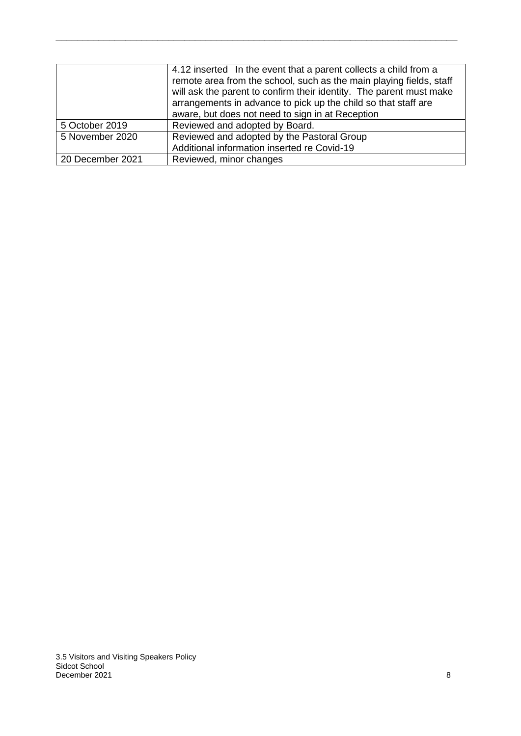|                  | 4.12 inserted In the event that a parent collects a child from a<br>remote area from the school, such as the main playing fields, staff<br>will ask the parent to confirm their identity. The parent must make<br>arrangements in advance to pick up the child so that staff are<br>aware, but does not need to sign in at Reception |
|------------------|--------------------------------------------------------------------------------------------------------------------------------------------------------------------------------------------------------------------------------------------------------------------------------------------------------------------------------------|
| 5 October 2019   | Reviewed and adopted by Board.                                                                                                                                                                                                                                                                                                       |
| 5 November 2020  | Reviewed and adopted by the Pastoral Group                                                                                                                                                                                                                                                                                           |
|                  | Additional information inserted re Covid-19                                                                                                                                                                                                                                                                                          |
| 20 December 2021 | Reviewed, minor changes                                                                                                                                                                                                                                                                                                              |

**\_\_\_\_\_\_\_\_\_\_\_\_\_\_\_\_\_\_\_\_\_\_\_\_\_\_\_\_\_\_\_\_\_\_\_\_\_\_\_\_\_\_\_\_\_\_\_\_\_\_\_\_\_\_\_\_\_\_\_\_\_\_\_\_\_\_\_\_\_\_\_\_\_\_\_**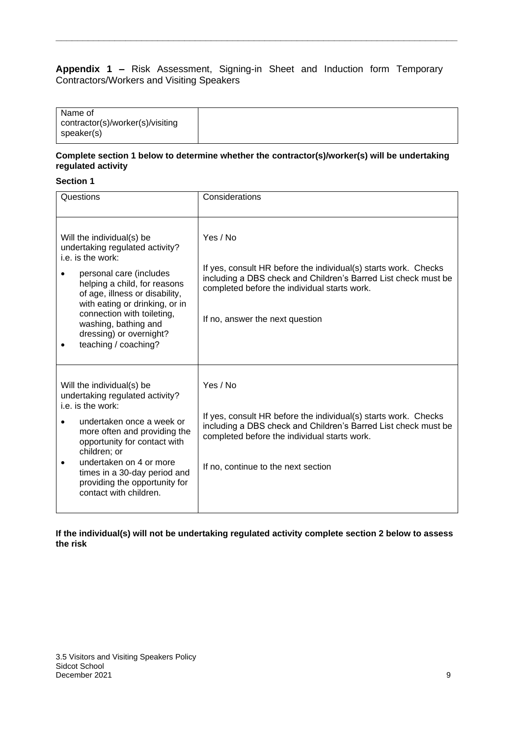#### <span id="page-8-0"></span>**Appendix 1 –** Risk Assessment, Signing-in Sheet and Induction form Temporary Contractors/Workers and Visiting Speakers

**\_\_\_\_\_\_\_\_\_\_\_\_\_\_\_\_\_\_\_\_\_\_\_\_\_\_\_\_\_\_\_\_\_\_\_\_\_\_\_\_\_\_\_\_\_\_\_\_\_\_\_\_\_\_\_\_\_\_\_\_\_\_\_\_\_\_\_\_\_\_\_\_\_\_\_**

| Name of<br>contractor(s)/worker(s)/visiting<br>speaker(s) |  |
|-----------------------------------------------------------|--|
|-----------------------------------------------------------|--|

#### **Complete section 1 below to determine whether the contractor(s)/worker(s) will be undertaking regulated activity**

#### **Section 1**

| Questions                                                                                                                                                                                                                                                                                                                 | Considerations                                                                                                                                                                                                                       |
|---------------------------------------------------------------------------------------------------------------------------------------------------------------------------------------------------------------------------------------------------------------------------------------------------------------------------|--------------------------------------------------------------------------------------------------------------------------------------------------------------------------------------------------------------------------------------|
| Will the individual(s) be<br>undertaking regulated activity?<br>i.e. is the work:<br>personal care (includes<br>helping a child, for reasons<br>of age, illness or disability,<br>with eating or drinking, or in<br>connection with toileting,<br>washing, bathing and<br>dressing) or overnight?<br>teaching / coaching? | Yes / No<br>If yes, consult HR before the individual(s) starts work. Checks<br>including a DBS check and Children's Barred List check must be<br>completed before the individual starts work.<br>If no, answer the next question     |
| Will the individual(s) be<br>undertaking regulated activity?<br>i.e. is the work:<br>undertaken once a week or<br>more often and providing the<br>opportunity for contact with<br>children; or<br>undertaken on 4 or more<br>times in a 30-day period and<br>providing the opportunity for<br>contact with children.      | Yes / No<br>If yes, consult HR before the individual(s) starts work. Checks<br>including a DBS check and Children's Barred List check must be<br>completed before the individual starts work.<br>If no, continue to the next section |

#### **If the individual(s) will not be undertaking regulated activity complete section 2 below to assess the risk**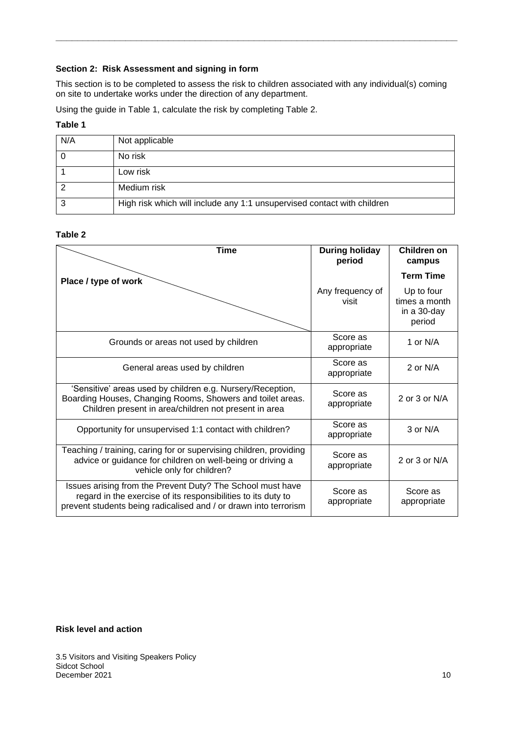## **Section 2: Risk Assessment and signing in form**

This section is to be completed to assess the risk to children associated with any individual(s) coming on site to undertake works under the direction of any department.

**\_\_\_\_\_\_\_\_\_\_\_\_\_\_\_\_\_\_\_\_\_\_\_\_\_\_\_\_\_\_\_\_\_\_\_\_\_\_\_\_\_\_\_\_\_\_\_\_\_\_\_\_\_\_\_\_\_\_\_\_\_\_\_\_\_\_\_\_\_\_\_\_\_\_\_**

Using the guide in Table 1, calculate the risk by completing Table 2.

#### **Table 1**

| N/A | Not applicable                                                          |
|-----|-------------------------------------------------------------------------|
|     | No risk                                                                 |
|     | Low risk                                                                |
|     | Medium risk                                                             |
| 3   | High risk which will include any 1:1 unsupervised contact with children |

#### **Table 2**

| <b>Time</b>                                                                                                                                                                                     | <b>During holiday</b><br>period | Children on<br>campus                                |
|-------------------------------------------------------------------------------------------------------------------------------------------------------------------------------------------------|---------------------------------|------------------------------------------------------|
| Place / type of work                                                                                                                                                                            |                                 | <b>Term Time</b>                                     |
|                                                                                                                                                                                                 | Any frequency of<br>visit       | Up to four<br>times a month<br>in a 30-day<br>period |
| Grounds or areas not used by children                                                                                                                                                           | Score as<br>appropriate         | 1 or N/A                                             |
| General areas used by children                                                                                                                                                                  | Score as<br>appropriate         | 2 or N/A                                             |
| 'Sensitive' areas used by children e.g. Nursery/Reception,<br>Boarding Houses, Changing Rooms, Showers and toilet areas.<br>Children present in area/children not present in area               | Score as<br>appropriate         | 2 or 3 or N/A                                        |
| Opportunity for unsupervised 1:1 contact with children?                                                                                                                                         | Score as<br>appropriate         | 3 or N/A                                             |
| Teaching / training, caring for or supervising children, providing<br>advice or guidance for children on well-being or driving a<br>vehicle only for children?                                  | Score as<br>appropriate         | 2 or 3 or N/A                                        |
| Issues arising from the Prevent Duty? The School must have<br>regard in the exercise of its responsibilities to its duty to<br>prevent students being radicalised and / or drawn into terrorism | Score as<br>appropriate         | Score as<br>appropriate                              |

#### **Risk level and action**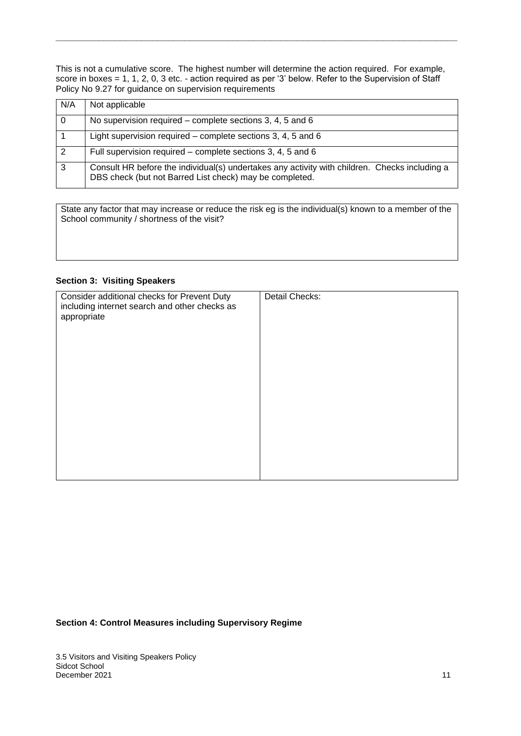This is not a cumulative score. The highest number will determine the action required. For example, score in boxes = 1, 1, 2, 0, 3 etc. - action required as per '3' below. Refer to the Supervision of Staff Policy No 9.27 for guidance on supervision requirements

**\_\_\_\_\_\_\_\_\_\_\_\_\_\_\_\_\_\_\_\_\_\_\_\_\_\_\_\_\_\_\_\_\_\_\_\_\_\_\_\_\_\_\_\_\_\_\_\_\_\_\_\_\_\_\_\_\_\_\_\_\_\_\_\_\_\_\_\_\_\_\_\_\_\_\_**

| N/A | Not applicable                                                                                                                                           |
|-----|----------------------------------------------------------------------------------------------------------------------------------------------------------|
|     | No supervision required – complete sections 3, 4, 5 and 6                                                                                                |
|     | Light supervision required – complete sections 3, 4, 5 and 6                                                                                             |
| 2   | Full supervision required – complete sections 3, 4, 5 and 6                                                                                              |
| 3   | Consult HR before the individual(s) undertakes any activity with children. Checks including a<br>DBS check (but not Barred List check) may be completed. |

State any factor that may increase or reduce the risk eg is the individual(s) known to a member of the School community / shortness of the visit?

#### **Section 3: Visiting Speakers**

| Consider additional checks for Prevent Duty   | Detail Checks: |
|-----------------------------------------------|----------------|
| including internet search and other checks as |                |
| appropriate                                   |                |
|                                               |                |
|                                               |                |
|                                               |                |
|                                               |                |
|                                               |                |
|                                               |                |
|                                               |                |
|                                               |                |
|                                               |                |
|                                               |                |
|                                               |                |
|                                               |                |
|                                               |                |
|                                               |                |

#### **Section 4: Control Measures including Supervisory Regime**

3.5 Visitors and Visiting Speakers Policy Sidcot School December 2021 11 No. 1 2021 12:00 12:00 12:00 12:00 12:00 12:00 12:00 12:00 12:00 12:00 12:00 12:00 12:00 12:00 12:00 12:00 12:00 12:00 12:00 12:00 12:00 12:00 12:00 12:00 12:00 12:00 12:00 12:00 12:00 12:00 12:00 12:00 12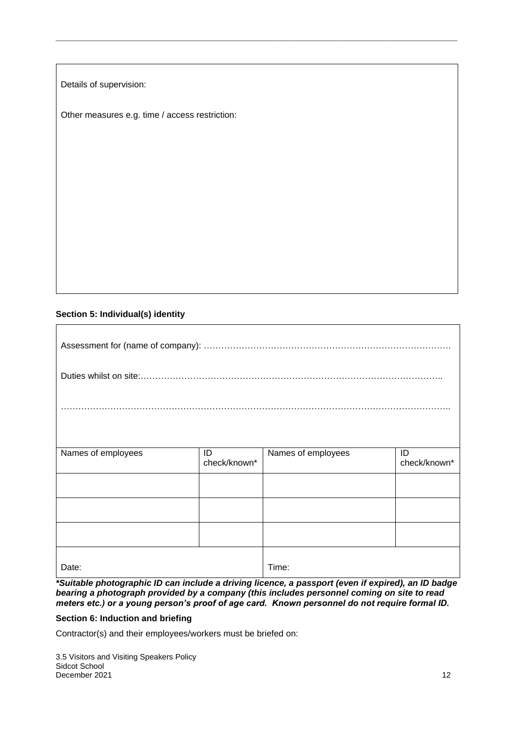Details of supervision:

Other measures e.g. time / access restriction:

#### **Section 5: Individual(s) identity**

 $\overline{\Gamma}$ 

| Names of employees | ID<br>check/known* | Names of employees | ID<br>check/known* |  |  |
|--------------------|--------------------|--------------------|--------------------|--|--|
|                    |                    |                    |                    |  |  |
|                    |                    |                    |                    |  |  |
|                    |                    |                    |                    |  |  |
| Date:              |                    | Time:              |                    |  |  |

**\_\_\_\_\_\_\_\_\_\_\_\_\_\_\_\_\_\_\_\_\_\_\_\_\_\_\_\_\_\_\_\_\_\_\_\_\_\_\_\_\_\_\_\_\_\_\_\_\_\_\_\_\_\_\_\_\_\_\_\_\_\_\_\_\_\_\_\_\_\_\_\_\_\_\_**

*\*Suitable photographic ID can include a driving licence, a passport (even if expired), an ID badge bearing a photograph provided by a company (this includes personnel coming on site to read meters etc.) or a young person's proof of age card. Known personnel do not require formal ID.*

#### **Section 6: Induction and briefing**

Contractor(s) and their employees/workers must be briefed on: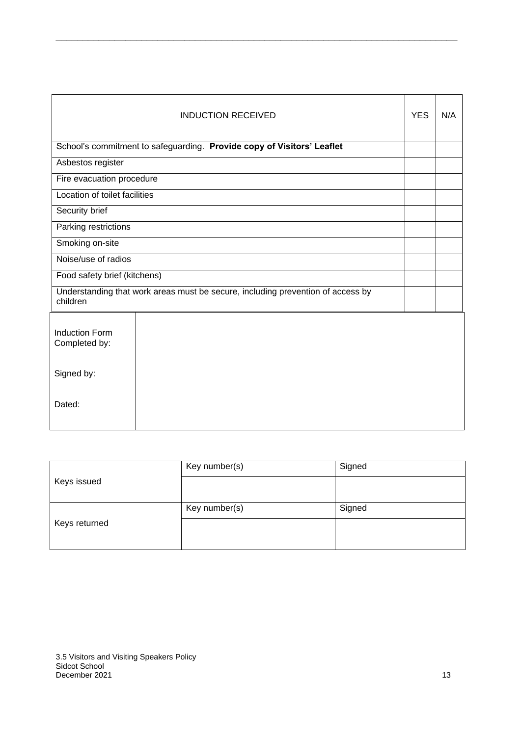| <b>INDUCTION RECEIVED</b>                                                                   |                                                                        |  | N/A |
|---------------------------------------------------------------------------------------------|------------------------------------------------------------------------|--|-----|
|                                                                                             | School's commitment to safeguarding. Provide copy of Visitors' Leaflet |  |     |
| Asbestos register                                                                           |                                                                        |  |     |
| Fire evacuation procedure                                                                   |                                                                        |  |     |
| Location of toilet facilities                                                               |                                                                        |  |     |
| Security brief                                                                              |                                                                        |  |     |
| Parking restrictions                                                                        |                                                                        |  |     |
| Smoking on-site                                                                             |                                                                        |  |     |
| Noise/use of radios                                                                         |                                                                        |  |     |
| Food safety brief (kitchens)                                                                |                                                                        |  |     |
| Understanding that work areas must be secure, including prevention of access by<br>children |                                                                        |  |     |
| <b>Induction Form</b><br>Completed by:                                                      |                                                                        |  |     |
| Signed by:                                                                                  |                                                                        |  |     |
| Dated:                                                                                      |                                                                        |  |     |

**\_\_\_\_\_\_\_\_\_\_\_\_\_\_\_\_\_\_\_\_\_\_\_\_\_\_\_\_\_\_\_\_\_\_\_\_\_\_\_\_\_\_\_\_\_\_\_\_\_\_\_\_\_\_\_\_\_\_\_\_\_\_\_\_\_\_\_\_\_\_\_\_\_\_\_**

|               | Key number(s) | Signed |
|---------------|---------------|--------|
| Keys issued   |               |        |
|               | Key number(s) | Signed |
| Keys returned |               |        |